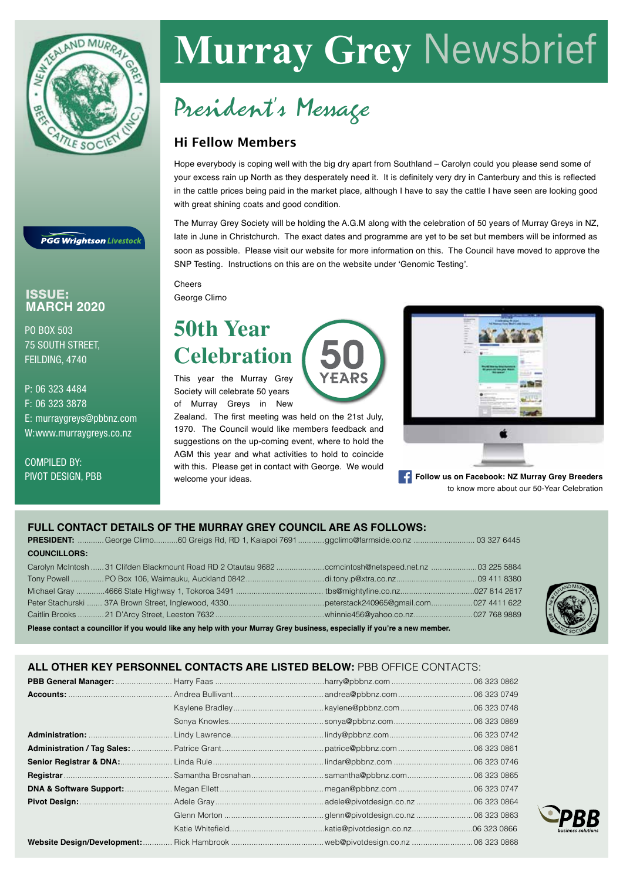

**PGG Wrightson Livestock** 

## ISSUE: **MARCH 2020**

PO BOX 503 75 SOUTH STREET, FEILDING, 4740

P: 06 323 4484 F: 06 323 3878 E: murraygreys@pbbnz.com W:www.murraygreys.co.nz

COMPILED BY: PIVOT DESIGN, PBB

# **Murray Grey** Newsbrief

## President's Message

## Hi Fellow Members

Hope everybody is coping well with the big dry apart from Southland – Carolyn could you please send some of your excess rain up North as they desperately need it. It is definitely very dry in Canterbury and this is reflected in the cattle prices being paid in the market place, although I have to say the cattle I have seen are looking good with great shining coats and good condition.

The Murray Grey Society will be holding the A.G.M along with the celebration of 50 years of Murray Greys in NZ, late in June in Christchurch. The exact dates and programme are yet to be set but members will be informed as soon as possible. Please visit our website for more information on this. The Council have moved to approve the SNP Testing. Instructions on this are on the website under 'Genomic Testing'.

**Cheers** George Climo

## **50th Year Celebration**

This year the Murray Grey Society will celebrate 50 years of Murray Greys in New

Zealand. The first meeting was held on the 21st July, 1970. The Council would like members feedback and suggestions on the up-coming event, where to hold the AGM this year and what activities to hold to coincide with this. Please get in contact with George. We would welcome your ideas.



**Follow us on Facebook: NZ Murray Grey Breeders** to know more about our 50-Year Celebration

## **FULL CONTACT DETAILS OF THE MURRAY GREY COUNCIL ARE AS FOLLOWS:**

| <b>COUNCILLORS:</b> |  |  |  |
|---------------------|--|--|--|

| Please contact a councillor if you would like any help with your Murray Grey business, especially if you're a new member. |  |  |  |  |  |  |
|---------------------------------------------------------------------------------------------------------------------------|--|--|--|--|--|--|
|                                                                                                                           |  |  |  |  |  |  |
|                                                                                                                           |  |  |  |  |  |  |
|                                                                                                                           |  |  |  |  |  |  |
|                                                                                                                           |  |  |  |  |  |  |
|                                                                                                                           |  |  |  |  |  |  |



**ALL OTHER KEY PERSONNEL CONTACTS ARE LISTED BELOW:** PBB OFFICE CONTACTS: